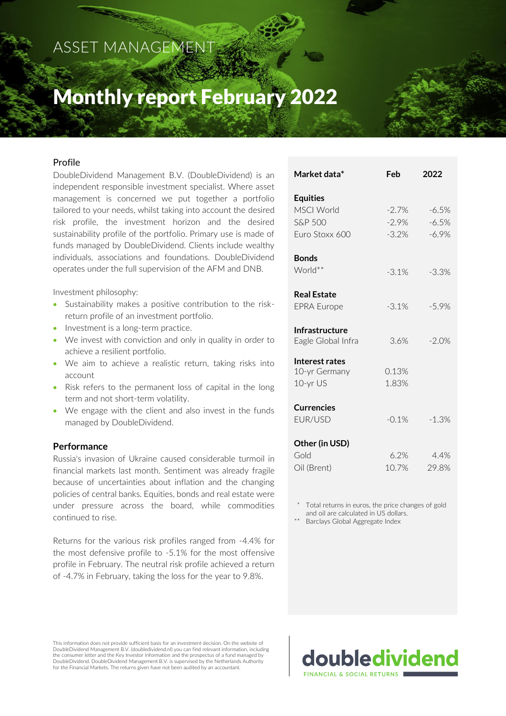ASSET MANAGEMENT

# Monthly report February 2022

# Profile

DoubleDividend Management B.V. (DoubleDividend) is an independent responsible investment specialist. Where asset management is concerned we put together a portfolio tailored to your needs, whilst taking into account the desired risk profile, the investment horizon and the desired sustainability profile of the portfolio. Primary use is made of funds managed by DoubleDividend. Clients include wealthy individuals, associations and foundations. DoubleDividend operates under the full supervision of the AFM and DNB.

Investment philosophy:

- Sustainability makes a positive contribution to the riskreturn profile of an investment portfolio.
- Investment is a long-term practice.
- We invest with conviction and only in quality in order to achieve a resilient portfolio.
- We aim to achieve a realistic return, taking risks into account
- Risk refers to the permanent loss of capital in the long term and not short-term volatility.
- We engage with the client and also invest in the funds managed by DoubleDividend.

### **Performance**

Russia's invasion of Ukraine caused considerable turmoil in financial markets last month. Sentiment was already fragile because of uncertainties about inflation and the changing policies of central banks. Equities, bonds and real estate were under pressure across the board, while commodities continued to rise.

Returns for the various risk profiles ranged from -4.4% for the most defensive profile to -5.1% for the most offensive profile in February. The neutral risk profile achieved a return of -4.7% in February, taking the loss for the year to 9.8%.

| ividi KCL udld                              | rcn            | ZUZZ          |
|---------------------------------------------|----------------|---------------|
| <b>Equities</b>                             |                |               |
| <b>MSCI World</b>                           | $-2.7\%$       | $-6.5%$       |
| <b>S&amp;P 500</b>                          | $-2.9\%$       | $-6.5%$       |
| Furo Stoxx 600                              | $-3.2\%$       | $-6.9\%$      |
| <b>Bonds</b>                                |                |               |
| World**                                     | $-3.1%$        | $-3.3%$       |
| <b>Real Estate</b>                          |                |               |
| <b>EPRA Europe</b>                          | $-3.1%$        | $-5.9%$       |
| <b>Infrastructure</b><br>Eagle Global Infra | 3.6%           | $-2.0%$       |
| Interest rates<br>10-yr Germany<br>10-yr US | 0.13%<br>1.83% |               |
| <b>Currencies</b><br>FUR/USD                | $-0.1\%$       | $-1.3%$       |
| Other (in USD)                              |                |               |
| Gold<br>Oil (Brent)                         | 6.2%<br>10.7%  | 4.4%<br>29.8% |
|                                             |                |               |

**Market data\* Feb 2022**

Total returns in euros, the price changes of gold and oil are calculated in US dollars.

doubledividend

Barclays Global Aggregate Index

FINANCIAL & SOCIAL RETURN

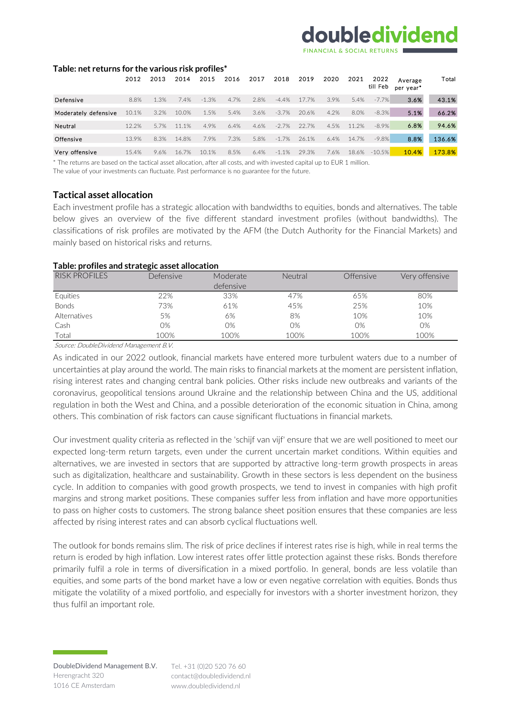# doubledividend

#### **Table: net returns for the various risk profiles\***

|                      | 2012  | 2013 | 2014  | 2015    | 2016 | 2017 | 2018    | 2019  | 2020 | 2021  | 2022<br>till Feb | Average<br>per vear* | Total  |
|----------------------|-------|------|-------|---------|------|------|---------|-------|------|-------|------------------|----------------------|--------|
| Defensive            | 8.8%  | 1.3% | 7.4%  | $-1.3%$ | 4.7% | 2.8% | $-4.4%$ | 17.7% | 3.9% | 5.4%  | $-7.7%$          | 3.6%                 | 43.1%  |
| Moderately defensive | 10.1% | 3.2% | 10.0% | 1.5%    | 5.4% | 3.6% | $-3.7%$ | 20.6% | 4.2% | 8.0%  | $-8.3%$          | 5.1%                 | 66.2%  |
| Neutral              | 12.2% | 5.7% | 11.1% | 4.9%    | 6.4% | 4.6% | $-2.7%$ | 22.7% | 4.5% | 11.2% | $-8.9%$          | 6.8%                 | 94.6%  |
| Offensive            | 13.9% | 8.3% | 14.8% | 7.9%    | 7.3% | 5.8% | $-1.7%$ | 26.1% | 6.4% | 14.7% | $-9.8%$          | 8.8%                 | 136.6% |
| Very offensive       | 15.4% | 9.6% | 16.7% | 10.1%   | 8.5% | 6.4% | $-1.1%$ | 29.3% | 7.6% | 18.6% | $-10.5%$         | 10.4%                | 173.8% |

\* The returns are based on the tactical asset allocation, after all costs, and with invested capital up to EUR 1 million.

The value of your investments can fluctuate. Past performance is no guarantee for the future.

### **Tactical asset allocation**

Each investment profile has a strategic allocation with bandwidths to equities, bonds and alternatives. The table below gives an overview of the five different standard investment profiles (without bandwidths). The classifications of risk profiles are motivated by the AFM (the Dutch Authority for the Financial Markets) and mainly based on historical risks and returns.

#### **Table: profiles and strategic asset allocation**

| <b>RISK PROFILES</b> | Defensive | Moderate  | Neutral | <b>Offensive</b> | Very offensive |
|----------------------|-----------|-----------|---------|------------------|----------------|
|                      |           | defensive |         |                  |                |
| Equities             | 22%       | 33%       | 47%     | 65%              | 80%            |
| <b>Bonds</b>         | 73%       | 61%       | 45%     | 25%              | 10%            |
| Alternatives         | 5%        | 6%        | 8%      | 10%              | 10%            |
| Cash                 | $O\%$     | O%        | $O\%$   | O%               | 0%             |
| Total                | 100%      | 100%      | 100%    | 100%             | 100%           |

Source: DoubleDividend Management B.V.

As indicated in our 2022 outlook, financial markets have entered more turbulent waters due to a number of uncertainties at play around the world. The main risks to financial markets at the moment are persistent inflation, rising interest rates and changing central bank policies. Other risks include new outbreaks and variants of the coronavirus, geopolitical tensions around Ukraine and the relationship between China and the US, additional regulation in both the West and China, and a possible deterioration of the economic situation in China, among others. This combination of risk factors can cause significant fluctuations in financial markets.

Our investment quality criteria as reflected in the 'schijf van vijf' ensure that we are well positioned to meet our expected long-term return targets, even under the current uncertain market conditions. Within equities and alternatives, we are invested in sectors that are supported by attractive long-term growth prospects in areas such as digitalization, healthcare and sustainability. Growth in these sectors is less dependent on the business cycle. In addition to companies with good growth prospects, we tend to invest in companies with high profit margins and strong market positions. These companies suffer less from inflation and have more opportunities to pass on higher costs to customers. The strong balance sheet position ensures that these companies are less affected by rising interest rates and can absorb cyclical fluctuations well.

The outlook for bonds remains slim. The risk of price declines if interest rates rise is high, while in real terms the return is eroded by high inflation. Low interest rates offer little protection against these risks. Bonds therefore primarily fulfil a role in terms of diversification in a mixed portfolio. In general, bonds are less volatile than equities, and some parts of the bond market have a low or even negative correlation with equities. Bonds thus mitigate the volatility of a mixed portfolio, and especially for investors with a shorter investment horizon, they thus fulfil an important role.

contact@doubledividend.nl www.doubledividend.nl